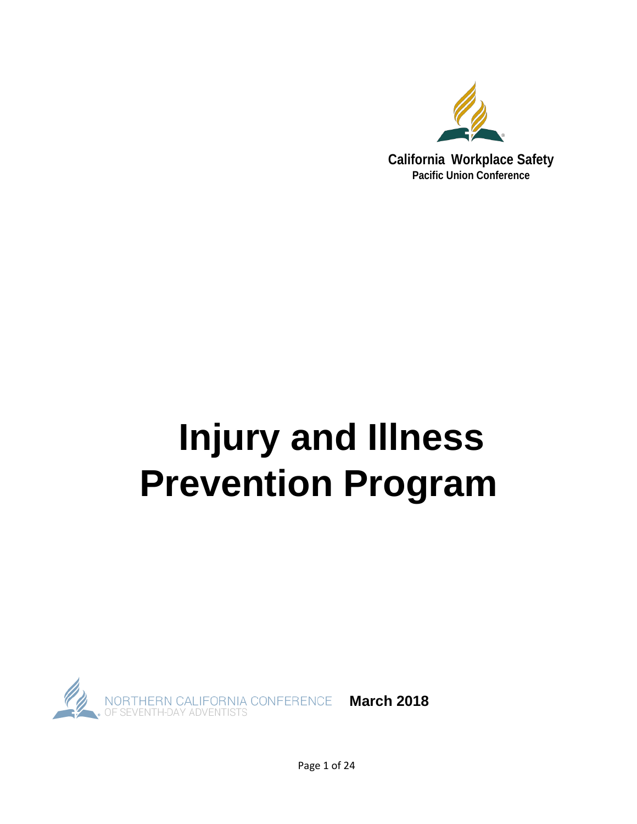

# **Injury and Illness Prevention Program**



Page 1 of 24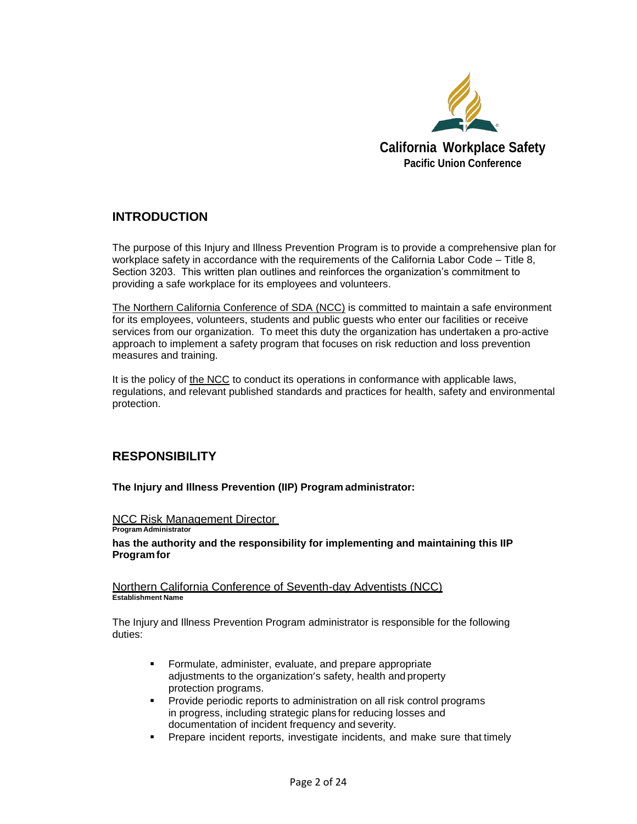

### **INTRODUCTION**

The purpose of this Injury and Illness Prevention Program is to provide a comprehensive plan for workplace safety in accordance with the requirements of the California Labor Code – Title 8, Section 3203. This written plan outlines and reinforces the organization's commitment to providing a safe workplace for its employees and volunteers.

The Northern California Conference of SDA (NCC) is committed to maintain a safe environment for its employees, volunteers, students and public guests who enter our facilities or receive services from our organization. To meet this duty the organization has undertaken a pro-active approach to implement a safety program that focuses on risk reduction and loss prevention measures and training.

It is the policy of the NCC to conduct its operations in conformance with applicable laws, regulations, and relevant published standards and practices for health, safety and environmental protection.

### **RESPONSIBILITY**

**Program Administrator**

**The Injury and Illness Prevention (IIP) Program administrator:** 

### **NCC Risk Management Director**

**has the authority and the responsibility for implementing and maintaining this IIP Programfor**

Northern California Conference of Seventh-day Adventists (NCC) **Establishment Name**

The Injury and Illness Prevention Program administrator is responsible for the following duties:

- **Formulate, administer, evaluate, and prepare appropriate** adjustments to the organization's safety, health and property protection programs.
- Provide periodic reports to administration on all risk control programs in progress, including strategic plans for reducing losses and documentation of incident frequency and severity.
- **Prepare incident reports, investigate incidents, and make sure that timely**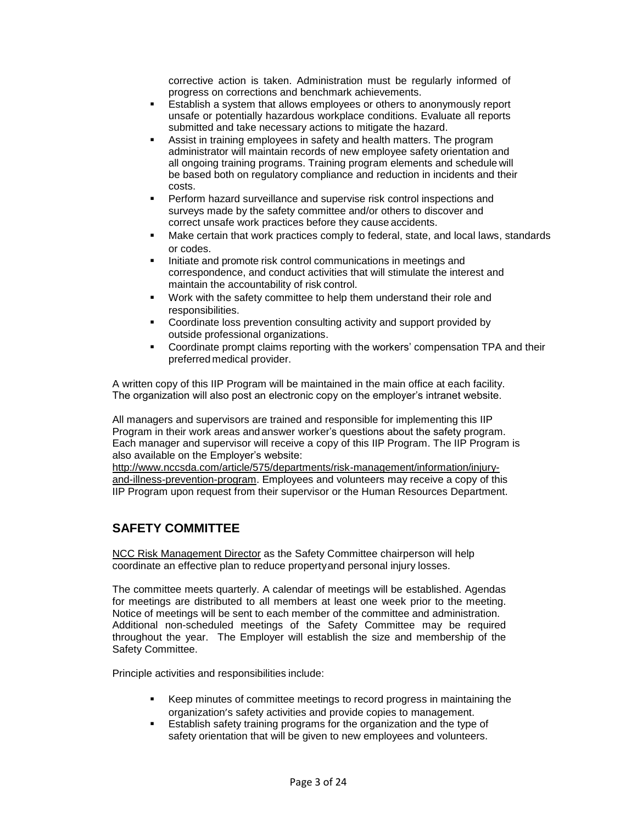corrective action is taken. Administration must be regularly informed of progress on corrections and benchmark achievements.

- Establish a system that allows employees or others to anonymously report unsafe or potentially hazardous workplace conditions. Evaluate all reports submitted and take necessary actions to mitigate the hazard.
- Assist in training employees in safety and health matters. The program administrator will maintain records of new employee safety orientation and all ongoing training programs. Training program elements and schedule will be based both on regulatory compliance and reduction in incidents and their costs.
- Perform hazard surveillance and supervise risk control inspections and surveys made by the safety committee and/or others to discover and correct unsafe work practices before they cause accidents.
- Make certain that work practices comply to federal, state, and local laws, standards or codes.
- Initiate and promote risk control communications in meetings and correspondence, and conduct activities that will stimulate the interest and maintain the accountability of risk control.
- Work with the safety committee to help them understand their role and responsibilities.
- Coordinate loss prevention consulting activity and support provided by outside professional organizations.
- Coordinate prompt claims reporting with the workers' compensation TPA and their preferred medical provider.

A written copy of this IIP Program will be maintained in the main office at each facility. The organization will also post an electronic copy on the employer's intranet website.

All managers and supervisors are trained and responsible for implementing this IIP Program in their work areas and answer worker's questions about the safety program. Each manager and supervisor will receive a copy of this IIP Program. The IIP Program is also available on the Employer's website:

http://www.nccsda.com/article/575/departments/risk-management/information/injuryand-illness-prevention-program. Employees and volunteers may receive a copy of this IIP Program upon request from their supervisor or the Human Resources Department.

### **SAFETY COMMITTEE**

NCC Risk Management Director as the Safety Committee chairperson will help coordinate an effective plan to reduce propertyand personal injury losses.

The committee meets quarterly. A calendar of meetings will be established. Agendas for meetings are distributed to all members at least one week prior to the meeting. Notice of meetings will be sent to each member of the committee and administration. Additional non-scheduled meetings of the Safety Committee may be required throughout the year. The Employer will establish the size and membership of the Safety Committee.

Principle activities and responsibilities include:

- Keep minutes of committee meetings to record progress in maintaining the organization's safety activities and provide copies to management.
- Establish safety training programs for the organization and the type of safety orientation that will be given to new employees and volunteers.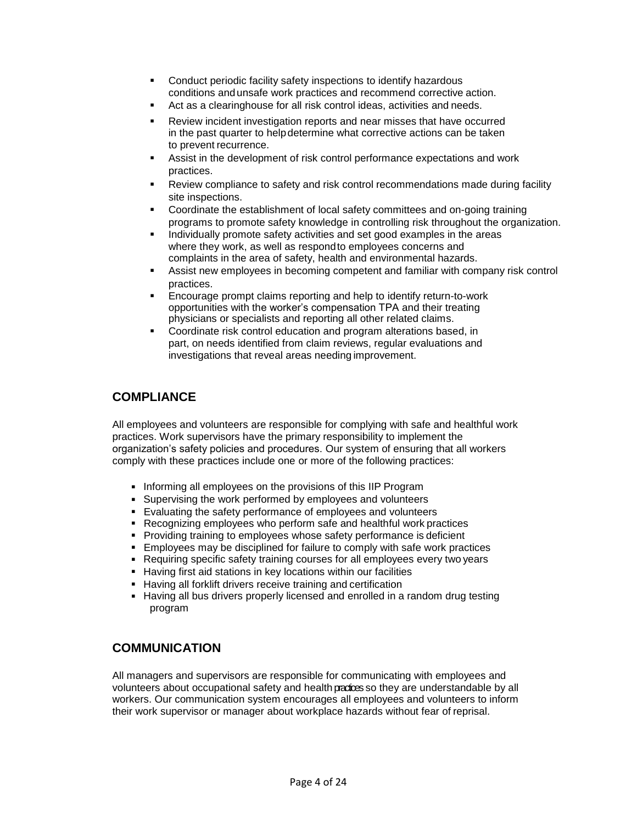- **•** Conduct periodic facility safety inspections to identify hazardous conditions andunsafe work practices and recommend corrective action.
- Act as a clearinghouse for all risk control ideas, activities and needs.
- Review incident investigation reports and near misses that have occurred in the past quarter to helpdetermine what corrective actions can be taken to prevent recurrence.
- Assist in the development of risk control performance expectations and work practices.
- Review compliance to safety and risk control recommendations made during facility site inspections.
- Coordinate the establishment of local safety committees and on-going training programs to promote safety knowledge in controlling risk throughout the organization.
- Individually promote safety activities and set good examples in the areas where they work, as well as respondto employees concerns and complaints in the area of safety, health and environmental hazards.
- Assist new employees in becoming competent and familiar with company risk control practices.
- Encourage prompt claims reporting and help to identify return-to-work opportunities with the worker's compensation TPA and their treating physicians or specialists and reporting all other related claims.
- **Coordinate risk control education and program alterations based, in** part, on needs identified from claim reviews, regular evaluations and investigations that reveal areas needing improvement.

### **COMPLIANCE**

All employees and volunteers are responsible for complying with safe and healthful work practices. Work supervisors have the primary responsibility to implement the organization's safety policies and procedures. Our system of ensuring that all workers comply with these practices include one or more of the following practices:

- **Informing all employees on the provisions of this IIP Program**
- Supervising the work performed by employees and volunteers
- Evaluating the safety performance of employees and volunteers
- Recognizing employees who perform safe and healthful work practices
- **Providing training to employees whose safety performance is deficient**
- **Employees may be disciplined for failure to comply with safe work practices**
- Requiring specific safety training courses for all employees every two years
- **Having first aid stations in key locations within our facilities**
- **Having all forklift drivers receive training and certification**
- Having all bus drivers properly licensed and enrolled in a random drug testing program

### **COMMUNICATION**

All managers and supervisors are responsible for communicating with employees and volunteers about occupational safety and health practices so they are understandable by all workers. Our communication system encourages all employees and volunteers to inform their work supervisor or manager about workplace hazards without fear of reprisal.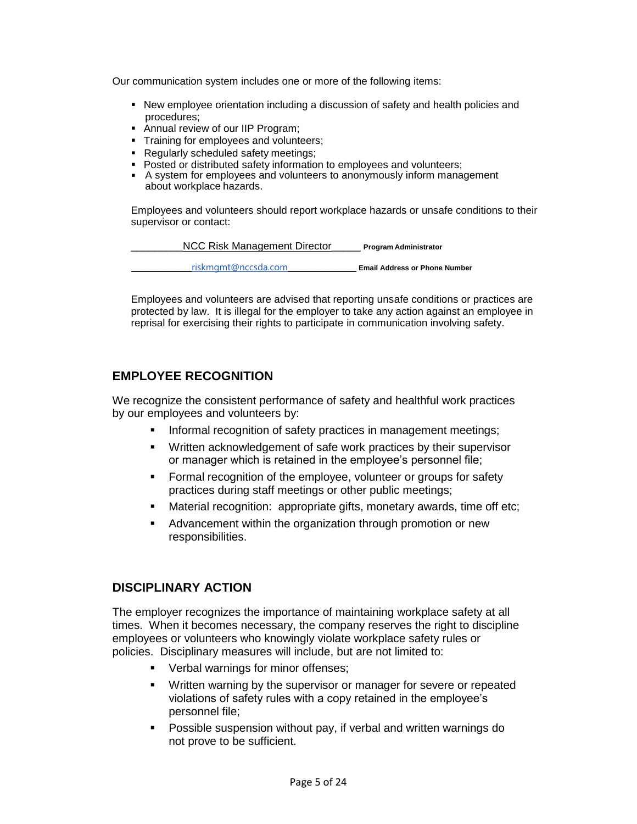Our communication system includes one or more of the following items:

- New employee orientation including a discussion of safety and health policies and procedures;
- Annual review of our IIP Program;
- **Training for employees and volunteers;**
- Regularly scheduled safety meetings;
- Posted or distributed safety information to employees and volunteers;
- A system for employees and volunteers to anonymously inform management about workplace hazards.

Employees and volunteers should report workplace hazards or unsafe conditions to their supervisor or contact:



Employees and volunteers are advised that reporting unsafe conditions or practices are protected by law. It is illegal for the employer to take any action against an employee in reprisal for exercising their rights to participate in communication involving safety.

### **EMPLOYEE RECOGNITION**

We recognize the consistent performance of safety and healthful work practices by our employees and volunteers by:

- **Informal recognition of safety practices in management meetings;**
- Written acknowledgement of safe work practices by their supervisor or manager which is retained in the employee's personnel file;
- **Formal recognition of the employee, volunteer or groups for safety** practices during staff meetings or other public meetings;
- Material recognition: appropriate gifts, monetary awards, time off etc;
- Advancement within the organization through promotion or new responsibilities.

### **DISCIPLINARY ACTION**

The employer recognizes the importance of maintaining workplace safety at all times. When it becomes necessary, the company reserves the right to discipline employees or volunteers who knowingly violate workplace safety rules or policies. Disciplinary measures will include, but are not limited to:

- **•** Verbal warnings for minor offenses;
- Written warning by the supervisor or manager for severe or repeated violations of safety rules with a copy retained in the employee's personnel file;
- Possible suspension without pay, if verbal and written warnings do not prove to be sufficient.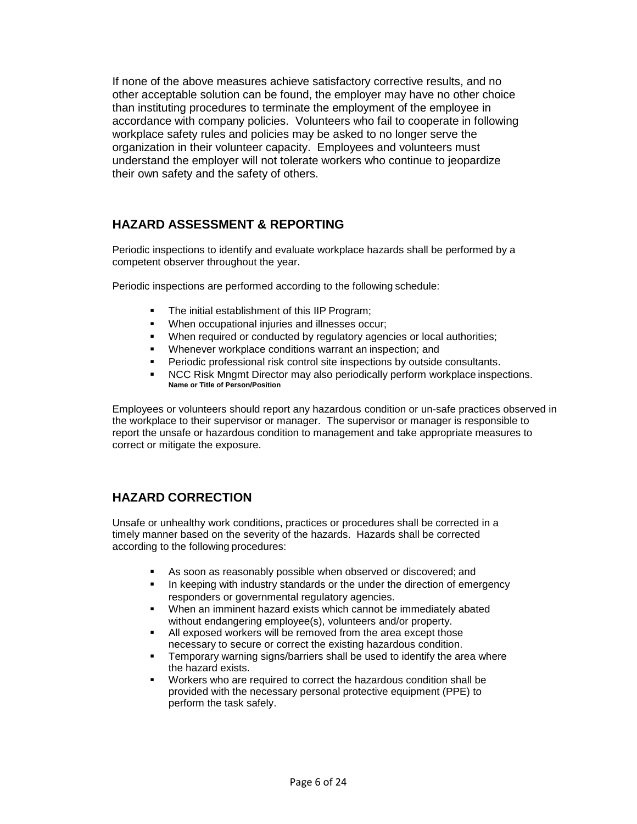If none of the above measures achieve satisfactory corrective results, and no other acceptable solution can be found, the employer may have no other choice than instituting procedures to terminate the employment of the employee in accordance with company policies. Volunteers who fail to cooperate in following workplace safety rules and policies may be asked to no longer serve the organization in their volunteer capacity. Employees and volunteers must understand the employer will not tolerate workers who continue to jeopardize their own safety and the safety of others.

### **HAZARD ASSESSMENT & REPORTING**

Periodic inspections to identify and evaluate workplace hazards shall be performed by a competent observer throughout the year.

Periodic inspections are performed according to the following schedule:

- The initial establishment of this IIP Program;
- When occupational injuries and illnesses occur;
- When required or conducted by regulatory agencies or local authorities;
- Whenever workplace conditions warrant an inspection; and
- Periodic professional risk control site inspections by outside consultants.
- NCC Risk Mngmt Director may also periodically perform workplace inspections. **Name or Title of Person/Position**

Employees or volunteers should report any hazardous condition or un-safe practices observed in the workplace to their supervisor or manager. The supervisor or manager is responsible to report the unsafe or hazardous condition to management and take appropriate measures to correct or mitigate the exposure.

### **HAZARD CORRECTION**

Unsafe or unhealthy work conditions, practices or procedures shall be corrected in a timely manner based on the severity of the hazards. Hazards shall be corrected according to the following procedures:

- As soon as reasonably possible when observed or discovered; and
- In keeping with industry standards or the under the direction of emergency responders or governmental regulatory agencies.
- When an imminent hazard exists which cannot be immediately abated without endangering employee(s), volunteers and/or property.
- All exposed workers will be removed from the area except those necessary to secure or correct the existing hazardous condition.
- Temporary warning signs/barriers shall be used to identify the area where the hazard exists.
- Workers who are required to correct the hazardous condition shall be provided with the necessary personal protective equipment (PPE) to perform the task safely.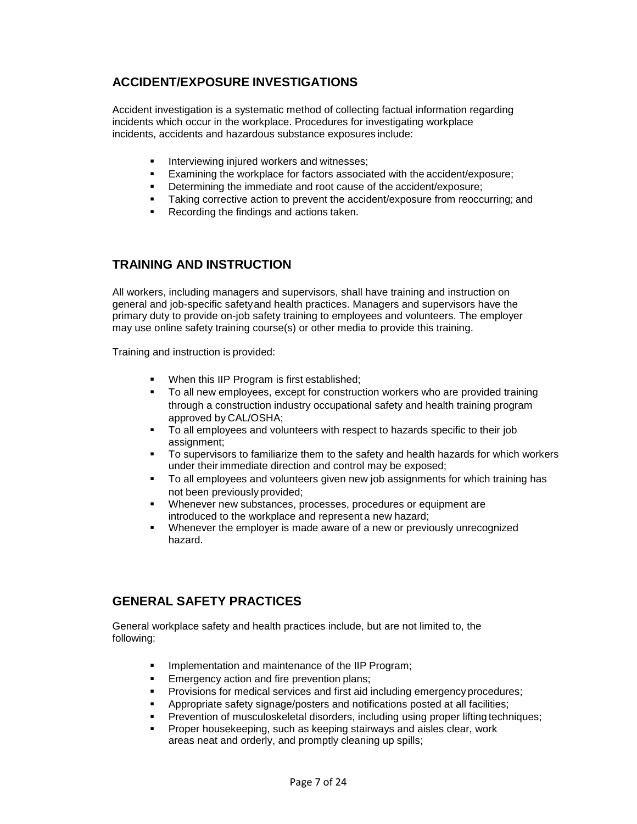### **ACCIDENT/EXPOSURE INVESTIGATIONS**

Accident investigation is a systematic method of collecting factual information regarding incidents which occur in the workplace. Procedures for investigating workplace incidents, accidents and hazardous substance exposures include:

- **Interviewing injured workers and witnesses;**
- Examining the workplace for factors associated with the accident/exposure;
- Determining the immediate and root cause of the accident/exposure:
- Taking corrective action to prevent the accident/exposure from reoccurring; and
- Recording the findings and actions taken.

### **TRAINING AND INSTRUCTION**

All workers, including managers and supervisors, shall have training and instruction on general and job-specific safetyand health practices. Managers and supervisors have the primary duty to provide on-job safety training to employees and volunteers. The employer may use online safety training course(s) or other media to provide this training.

Training and instruction is provided:

- When this IIP Program is first established;
- To all new employees, except for construction workers who are provided training through a construction industry occupational safety and health training program approved by CAL/OSHA;
- To all employees and volunteers with respect to hazards specific to their job assignment;
- To supervisors to familiarize them to the safety and health hazards for which workers under their immediate direction and control may be exposed;
- To all employees and volunteers given new job assignments for which training has not been previously provided;
- Whenever new substances, processes, procedures or equipment are introduced to the workplace and represent a new hazard;
- Whenever the employer is made aware of a new or previously unrecognized hazard.

### **GENERAL SAFETY PRACTICES**

General workplace safety and health practices include, but are not limited to, the following:

- **IMPLEMENTATION AND MAINTED INCOCO EXAMPLEM** IN Program;
- **Emergency action and fire prevention plans;**
- Provisions for medical services and first aid including emergency procedures;
- Appropriate safety signage/posters and notifications posted at all facilities;
- Prevention of musculoskeletal disorders, including using proper lifting techniques;
- Proper housekeeping, such as keeping stairways and aisles clear, work areas neat and orderly, and promptly cleaning up spills;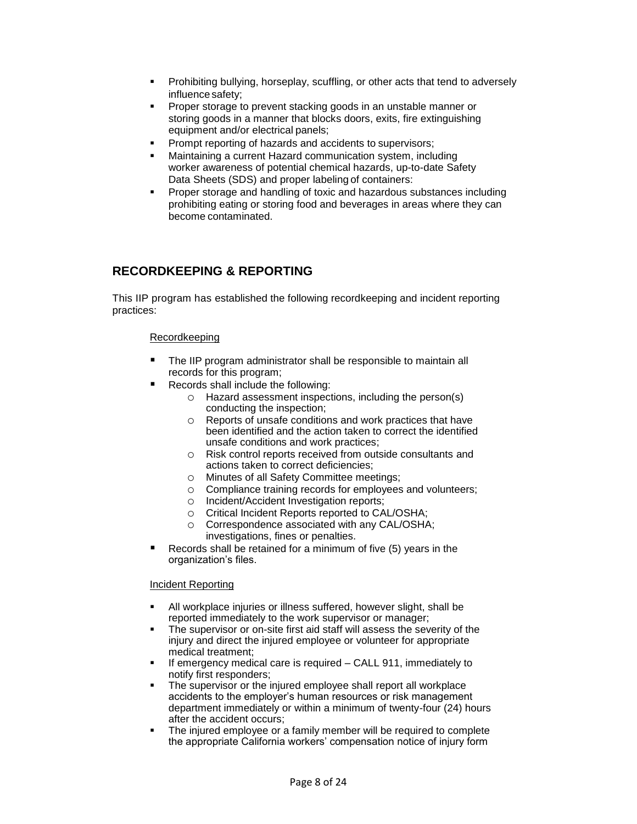- Prohibiting bullying, horseplay, scuffling, or other acts that tend to adversely influence safety;
- **Proper storage to prevent stacking goods in an unstable manner or** storing goods in a manner that blocks doors, exits, fire extinguishing equipment and/or electrical panels;
- Prompt reporting of hazards and accidents to supervisors;
- Maintaining a current Hazard communication system, including worker awareness of potential chemical hazards, up-to-date Safety Data Sheets (SDS) and proper labeling of containers:
- Proper storage and handling of toxic and hazardous substances including prohibiting eating or storing food and beverages in areas where they can become contaminated.

### **RECORDKEEPING & REPORTING**

This IIP program has established the following recordkeeping and incident reporting practices:

### Recordkeeping

- The IIP program administrator shall be responsible to maintain all records for this program;
- Records shall include the following:
	- o Hazard assessment inspections, including the person(s) conducting the inspection;
	- o Reports of unsafe conditions and work practices that have been identified and the action taken to correct the identified unsafe conditions and work practices;
	- o Risk control reports received from outside consultants and actions taken to correct deficiencies;
	- o Minutes of all Safety Committee meetings;
	- o Compliance training records for employees and volunteers;
	- o Incident/Accident Investigation reports;
	- o Critical Incident Reports reported to CAL/OSHA;
	- o Correspondence associated with any CAL/OSHA; investigations, fines or penalties.
- Records shall be retained for a minimum of five (5) years in the organization's files.

#### Incident Reporting

- All workplace injuries or illness suffered, however slight, shall be reported immediately to the work supervisor or manager;
- The supervisor or on-site first aid staff will assess the severity of the injury and direct the injured employee or volunteer for appropriate medical treatment;
- If emergency medical care is required CALL 911, immediately to notify first responders;
- The supervisor or the injured employee shall report all workplace accidents to the employer's human resources or risk management department immediately or within a minimum of twenty-four (24) hours after the accident occurs;
- The injured employee or a family member will be required to complete the appropriate California workers' compensation notice of injury form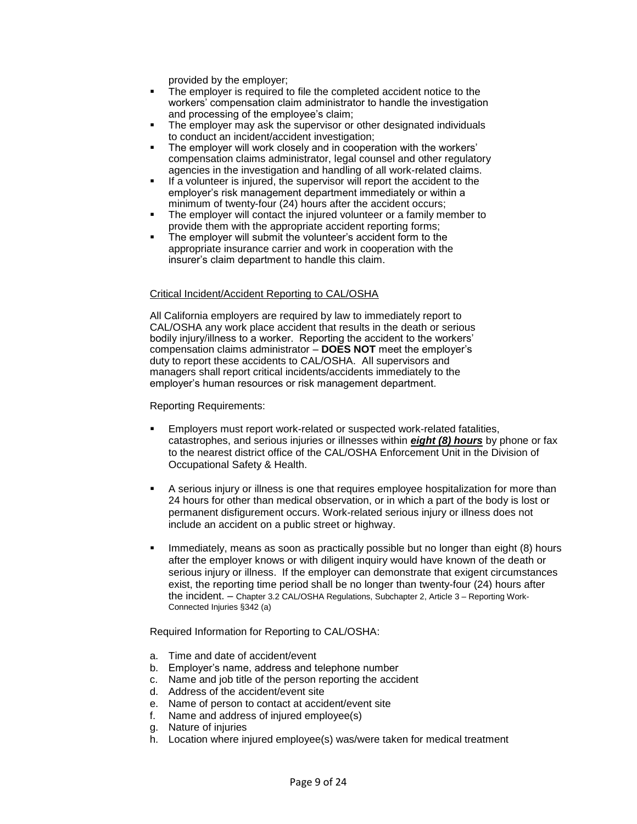provided by the employer;

- **The employer is required to file the completed accident notice to the** workers' compensation claim administrator to handle the investigation and processing of the employee's claim;
- The employer may ask the supervisor or other designated individuals to conduct an incident/accident investigation;
- The employer will work closely and in cooperation with the workers' compensation claims administrator, legal counsel and other regulatory agencies in the investigation and handling of all work-related claims.
- If a volunteer is injured, the supervisor will report the accident to the employer's risk management department immediately or within a minimum of twenty-four (24) hours after the accident occurs;
- The employer will contact the injured volunteer or a family member to provide them with the appropriate accident reporting forms;
- The employer will submit the volunteer's accident form to the appropriate insurance carrier and work in cooperation with the insurer's claim department to handle this claim.

### Critical Incident/Accident Reporting to CAL/OSHA

All California employers are required by law to immediately report to CAL/OSHA any work place accident that results in the death or serious bodily injury/illness to a worker. Reporting the accident to the workers' compensation claims administrator – **DOES NOT** meet the employer's duty to report these accidents to CAL/OSHA. All supervisors and managers shall report critical incidents/accidents immediately to the employer's human resources or risk management department.

Reporting Requirements:

- Employers must report work-related or suspected work-related fatalities, catastrophes, and serious injuries or illnesses within *eight (8) hours* by phone or fax to the nearest district office of the CAL/OSHA Enforcement Unit in the Division of Occupational Safety & Health.
- A serious injury or illness is one that requires employee hospitalization for more than 24 hours for other than medical observation, or in which a part of the body is lost or permanent disfigurement occurs. Work-related serious injury or illness does not include an accident on a public street or highway.
- Immediately, means as soon as practically possible but no longer than eight (8) hours after the employer knows or with diligent inquiry would have known of the death or serious injury or illness. If the employer can demonstrate that exigent circumstances exist, the reporting time period shall be no longer than twenty-four (24) hours after the incident. – Chapter 3.2 CAL/OSHA Regulations, Subchapter 2, Article 3 – Reporting Work-Connected Injuries §342 (a)

Required Information for Reporting to CAL/OSHA:

- a. Time and date of accident/event
- b. Employer's name, address and telephone number
- c. Name and job title of the person reporting the accident
- d. Address of the accident/event site
- e. Name of person to contact at accident/event site
- f. Name and address of injured employee(s)
- g. Nature of injuries
- h. Location where injured employee(s) was/were taken for medical treatment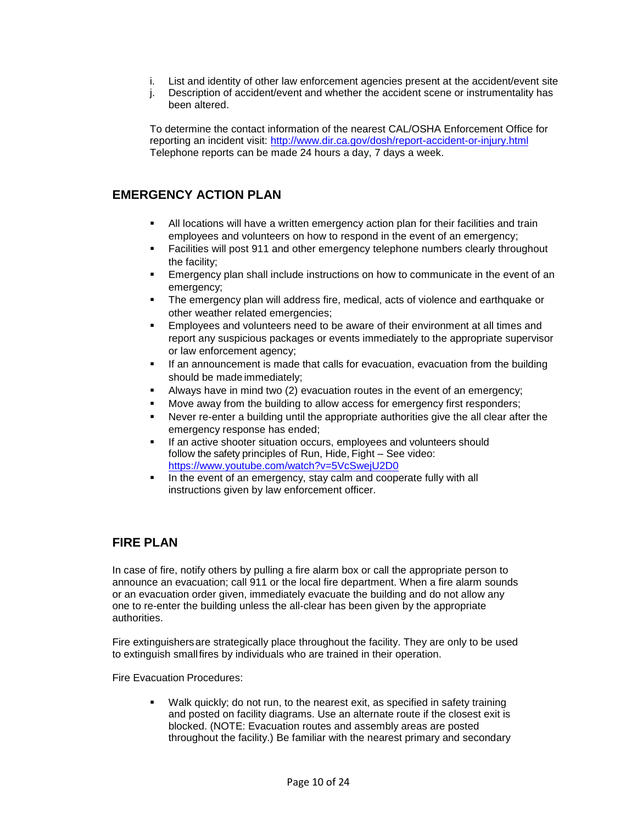- i. List and identity of other law enforcement agencies present at the accident/event site
- j. Description of accident/event and whether the accident scene or instrumentality has been altered.

To determine the contact information of the nearest CAL/OSHA Enforcement Office for reporting an incident visit: <http://www.dir.ca.gov/dosh/report-accident-or-injury.html> Telephone reports can be made 24 hours a day, 7 days a week.

### **EMERGENCY ACTION PLAN**

- All locations will have a written emergency action plan for their facilities and train employees and volunteers on how to respond in the event of an emergency;
- **Facilities will post 911 and other emergency telephone numbers clearly throughout** the facility;
- Emergency plan shall include instructions on how to communicate in the event of an emergency;
- The emergency plan will address fire, medical, acts of violence and earthquake or other weather related emergencies;
- Employees and volunteers need to be aware of their environment at all times and report any suspicious packages or events immediately to the appropriate supervisor or law enforcement agency;
- **If an announcement is made that calls for evacuation, evacuation from the building** should be made immediately;
- Always have in mind two (2) evacuation routes in the event of an emergency;
- Move away from the building to allow access for emergency first responders;
- Never re-enter a building until the appropriate authorities give the all clear after the emergency response has ended;
- If an active shooter situation occurs, employees and volunteers should follow the safety principles of Run, Hide, Fight – See video: <https://www.youtube.com/watch?v=5VcSwejU2D0>
- In the event of an emergency, stay calm and cooperate fully with all instructions given by law enforcement officer.

### **FIRE PLAN**

In case of fire, notify others by pulling a fire alarm box or call the appropriate person to announce an evacuation; call 911 or the local fire department. When a fire alarm sounds or an evacuation order given, immediately evacuate the building and do not allow any one to re-enter the building unless the all-clear has been given by the appropriate authorities.

Fire extinguishersare strategically place throughout the facility. They are only to be used to extinguish smallfires by individuals who are trained in their operation.

Fire Evacuation Procedures:

 Walk quickly; do not run, to the nearest exit, as specified in safety training and posted on facility diagrams. Use an alternate route if the closest exit is blocked. (NOTE: Evacuation routes and assembly areas are posted throughout the facility.) Be familiar with the nearest primary and secondary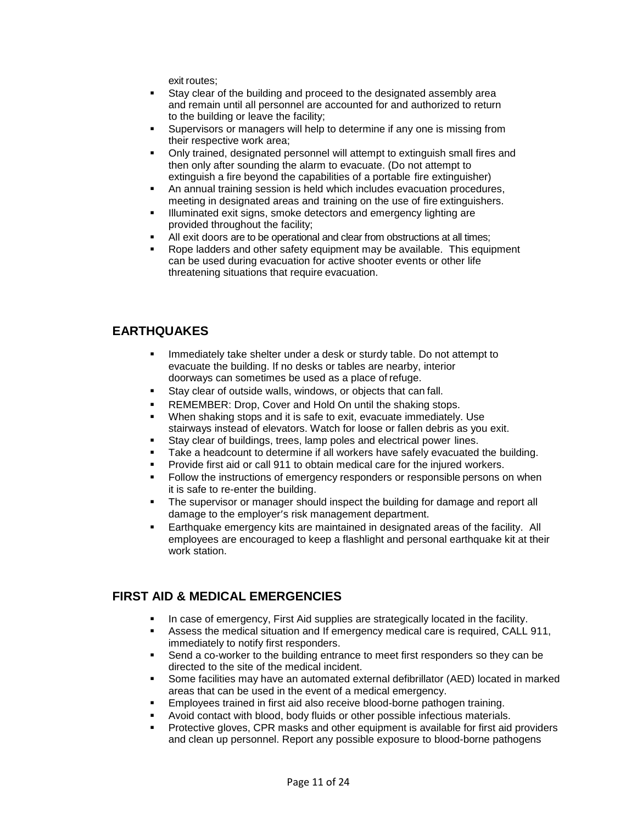exit routes;

- Stay clear of the building and proceed to the designated assembly area and remain until all personnel are accounted for and authorized to return to the building or leave the facility;
- Supervisors or managers will help to determine if any one is missing from their respective work area;
- Only trained, designated personnel will attempt to extinguish small fires and then only after sounding the alarm to evacuate. (Do not attempt to extinguish a fire beyond the capabilities of a portable fire extinguisher)
- An annual training session is held which includes evacuation procedures, meeting in designated areas and training on the use of fire extinguishers.
- **Illuminated exit signs, smoke detectors and emergency lighting are** provided throughout the facility;
- All exit doors are to be operational and clear from obstructions at all times;
- Rope ladders and other safety equipment may be available. This equipment can be used during evacuation for active shooter events or other life threatening situations that require evacuation.

### **EARTHQUAKES**

- Immediately take shelter under a desk or sturdy table. Do not attempt to evacuate the building. If no desks or tables are nearby, interior doorways can sometimes be used as a place of refuge.
- Stay clear of outside walls, windows, or objects that can fall.
- REMEMBER: Drop, Cover and Hold On until the shaking stops.
- When shaking stops and it is safe to exit, evacuate immediately. Use stairways instead of elevators. Watch for loose or fallen debris as you exit.
- Stay clear of buildings, trees, lamp poles and electrical power lines.
- Take a headcount to determine if all workers have safely evacuated the building.
- Provide first aid or call 911 to obtain medical care for the injured workers.
- Follow the instructions of emergency responders or responsible persons on when it is safe to re-enter the building.
- The supervisor or manager should inspect the building for damage and report all damage to the employer's risk management department.
- Earthquake emergency kits are maintained in designated areas of the facility. All employees are encouraged to keep a flashlight and personal earthquake kit at their work station.

### **FIRST AID & MEDICAL EMERGENCIES**

- In case of emergency, First Aid supplies are strategically located in the facility.
- Assess the medical situation and If emergency medical care is required, CALL 911, immediately to notify first responders.
- Send a co-worker to the building entrance to meet first responders so they can be directed to the site of the medical incident.
- Some facilities may have an automated external defibrillator (AED) located in marked areas that can be used in the event of a medical emergency.
- Employees trained in first aid also receive blood-borne pathogen training.
- Avoid contact with blood, body fluids or other possible infectious materials.
- Protective gloves, CPR masks and other equipment is available for first aid providers and clean up personnel. Report any possible exposure to blood-borne pathogens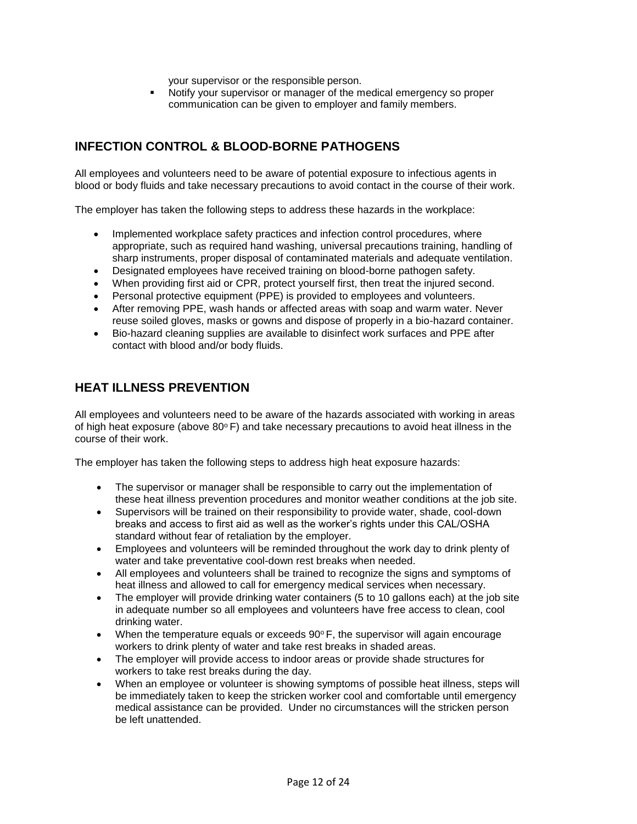your supervisor or the responsible person.

 Notify your supervisor or manager of the medical emergency so proper communication can be given to employer and family members.

### **INFECTION CONTROL & BLOOD-BORNE PATHOGENS**

All employees and volunteers need to be aware of potential exposure to infectious agents in blood or body fluids and take necessary precautions to avoid contact in the course of their work.

The employer has taken the following steps to address these hazards in the workplace:

- Implemented workplace safety practices and infection control procedures, where appropriate, such as required hand washing, universal precautions training, handling of sharp instruments, proper disposal of contaminated materials and adequate ventilation.
- Designated employees have received training on blood-borne pathogen safety.
- When providing first aid or CPR, protect yourself first, then treat the injured second.
- Personal protective equipment (PPE) is provided to employees and volunteers.
- After removing PPE, wash hands or affected areas with soap and warm water. Never reuse soiled gloves, masks or gowns and dispose of properly in a bio-hazard container.
- Bio-hazard cleaning supplies are available to disinfect work surfaces and PPE after contact with blood and/or body fluids.

### **HEAT ILLNESS PREVENTION**

All employees and volunteers need to be aware of the hazards associated with working in areas of high heat exposure (above  $80^{\circ}$  F) and take necessary precautions to avoid heat illness in the course of their work.

The employer has taken the following steps to address high heat exposure hazards:

- The supervisor or manager shall be responsible to carry out the implementation of these heat illness prevention procedures and monitor weather conditions at the job site.
- Supervisors will be trained on their responsibility to provide water, shade, cool-down breaks and access to first aid as well as the worker's rights under this CAL/OSHA standard without fear of retaliation by the employer.
- Employees and volunteers will be reminded throughout the work day to drink plenty of water and take preventative cool-down rest breaks when needed.
- All employees and volunteers shall be trained to recognize the signs and symptoms of heat illness and allowed to call for emergency medical services when necessary.
- The employer will provide drinking water containers (5 to 10 gallons each) at the job site in adequate number so all employees and volunteers have free access to clean, cool drinking water.
- When the temperature equals or exceeds  $90^\circ$  F, the supervisor will again encourage workers to drink plenty of water and take rest breaks in shaded areas.
- The employer will provide access to indoor areas or provide shade structures for workers to take rest breaks during the day.
- When an employee or volunteer is showing symptoms of possible heat illness, steps will be immediately taken to keep the stricken worker cool and comfortable until emergency medical assistance can be provided. Under no circumstances will the stricken person be left unattended.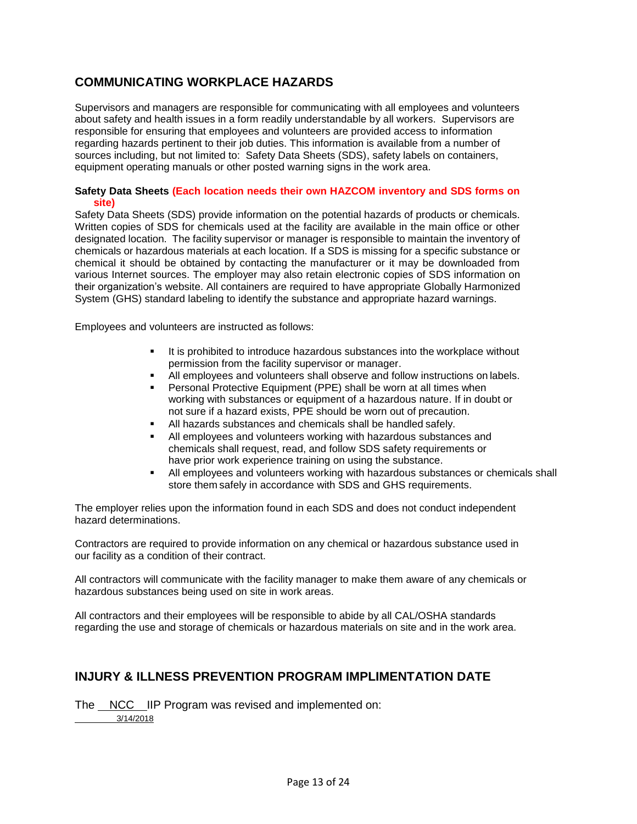### **COMMUNICATING WORKPLACE HAZARDS**

Supervisors and managers are responsible for communicating with all employees and volunteers about safety and health issues in a form readily understandable by all workers. Supervisors are responsible for ensuring that employees and volunteers are provided access to information regarding hazards pertinent to their job duties. This information is available from a number of sources including, but not limited to: Safety Data Sheets (SDS), safety labels on containers, equipment operating manuals or other posted warning signs in the work area.

### **Safety Data Sheets (Each location needs their own HAZCOM inventory and SDS forms on site)**

Safety Data Sheets (SDS) provide information on the potential hazards of products or chemicals. Written copies of SDS for chemicals used at the facility are available in the main office or other designated location. The facility supervisor or manager is responsible to maintain the inventory of chemicals or hazardous materials at each location. If a SDS is missing for a specific substance or chemical it should be obtained by contacting the manufacturer or it may be downloaded from various Internet sources. The employer may also retain electronic copies of SDS information on their organization's website. All containers are required to have appropriate Globally Harmonized System (GHS) standard labeling to identify the substance and appropriate hazard warnings.

Employees and volunteers are instructed as follows:

- It is prohibited to introduce hazardous substances into the workplace without permission from the facility supervisor or manager.
- All employees and volunteers shall observe and follow instructions on labels.
- Personal Protective Equipment (PPE) shall be worn at all times when working with substances or equipment of a hazardous nature. If in doubt or not sure if a hazard exists, PPE should be worn out of precaution.
- All hazards substances and chemicals shall be handled safely.
- All employees and volunteers working with hazardous substances and chemicals shall request, read, and follow SDS safety requirements or have prior work experience training on using the substance.
- All employees and volunteers working with hazardous substances or chemicals shall store them safely in accordance with SDS and GHS requirements.

The employer relies upon the information found in each SDS and does not conduct independent hazard determinations.

Contractors are required to provide information on any chemical or hazardous substance used in our facility as a condition of their contract.

All contractors will communicate with the facility manager to make them aware of any chemicals or hazardous substances being used on site in work areas.

All contractors and their employees will be responsible to abide by all CAL/OSHA standards regarding the use and storage of chemicals or hazardous materials on site and in the work area.

### **INJURY & ILLNESS PREVENTION PROGRAM IMPLIMENTATION DATE**

The NCC IIP Program was revised and implemented on: 3/14/2018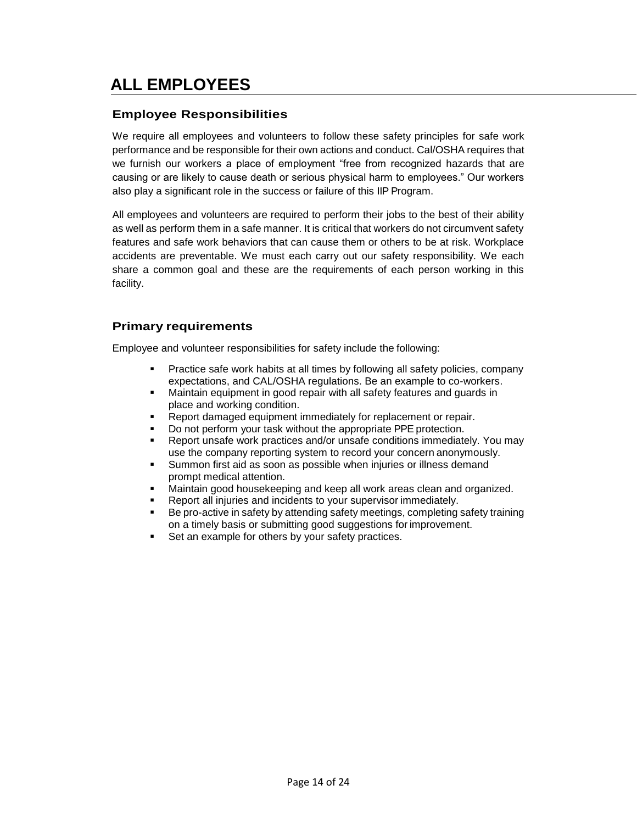# **ALL EMPLOYEES**

### **Employee Responsibilities**

We require all employees and volunteers to follow these safety principles for safe work performance and be responsible for their own actions and conduct. Cal/OSHA requires that we furnish our workers a place of employment "free from recognized hazards that are causing or are likely to cause death or serious physical harm to employees." Our workers also play a significant role in the success or failure of this IIP Program.

All employees and volunteers are required to perform their jobs to the best of their ability as well as perform them in a safe manner. It is critical that workers do not circumvent safety features and safe work behaviors that can cause them or others to be at risk. Workplace accidents are preventable. We must each carry out our safety responsibility. We each share a common goal and these are the requirements of each person working in this facility.

### **Primary requirements**

Employee and volunteer responsibilities for safety include the following:

- Practice safe work habits at all times by following all safety policies, company expectations, and CAL/OSHA regulations. Be an example to co-workers.
- Maintain equipment in good repair with all safety features and guards in place and working condition.
- Report damaged equipment immediately for replacement or repair.
- Do not perform your task without the appropriate PPE protection.
- Report unsafe work practices and/or unsafe conditions immediately. You may use the company reporting system to record your concern anonymously.
- Summon first aid as soon as possible when injuries or illness demand prompt medical attention.
- Maintain good housekeeping and keep all work areas clean and organized.
- Report all injuries and incidents to your supervisor immediately.
- Be pro-active in safety by attending safety meetings, completing safety training on a timely basis or submitting good suggestions for improvement.
- Set an example for others by your safety practices.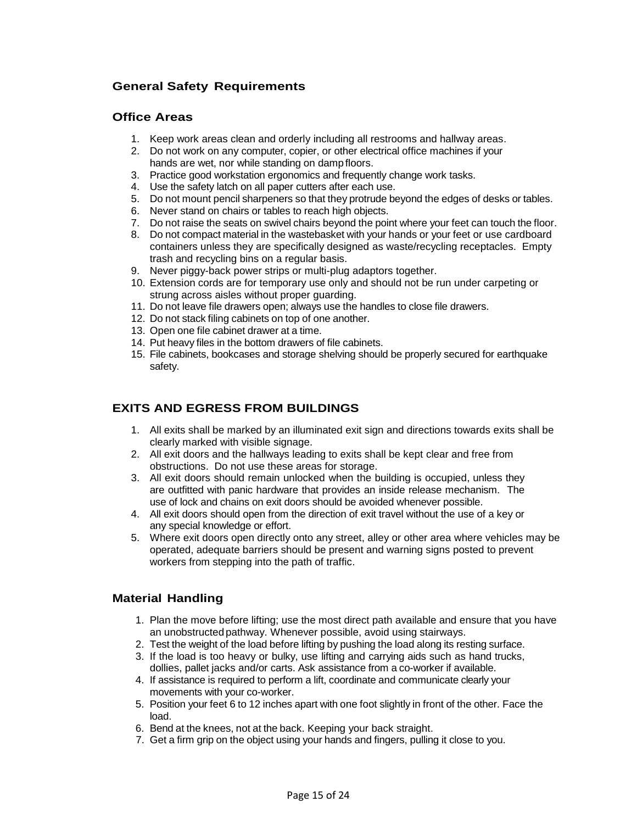### **General Safety Requirements**

### **Office Areas**

- 1. Keep work areas clean and orderly including all restrooms and hallway areas.
- 2. Do not work on any computer, copier, or other electrical office machines if your hands are wet, nor while standing on damp floors.
- 3. Practice good workstation ergonomics and frequently change work tasks.
- 4. Use the safety latch on all paper cutters after each use.
- 5. Do not mount pencil sharpeners so that they protrude beyond the edges of desks or tables.
- 6. Never stand on chairs or tables to reach high objects.
- 7. Do not raise the seats on swivel chairs beyond the point where your feet can touch the floor.
- 8. Do not compact material in the wastebasket with your hands or your feet or use cardboard containers unless they are specifically designed as waste/recycling receptacles. Empty trash and recycling bins on a regular basis.
- 9. Never piggy-back power strips or multi-plug adaptors together.
- 10. Extension cords are for temporary use only and should not be run under carpeting or strung across aisles without proper guarding.
- 11. Do not leave file drawers open; always use the handles to close file drawers.
- 12. Do not stack filing cabinets on top of one another.
- 13. Open one file cabinet drawer at a time.
- 14. Put heavy files in the bottom drawers of file cabinets.
- 15. File cabinets, bookcases and storage shelving should be properly secured for earthquake safety.

### **EXITS AND EGRESS FROM BUILDINGS**

- 1. All exits shall be marked by an illuminated exit sign and directions towards exits shall be clearly marked with visible signage.
- 2. All exit doors and the hallways leading to exits shall be kept clear and free from obstructions. Do not use these areas for storage.
- 3. All exit doors should remain unlocked when the building is occupied, unless they are outfitted with panic hardware that provides an inside release mechanism. The use of lock and chains on exit doors should be avoided whenever possible.
- 4. All exit doors should open from the direction of exit travel without the use of a key or any special knowledge or effort.
- 5. Where exit doors open directly onto any street, alley or other area where vehicles may be operated, adequate barriers should be present and warning signs posted to prevent workers from stepping into the path of traffic.

### **Material Handling**

- 1. Plan the move before lifting; use the most direct path available and ensure that you have an unobstructed pathway. Whenever possible, avoid using stairways.
- 2. Test the weight of the load before lifting by pushing the load along its resting surface.
- 3. If the load is too heavy or bulky, use lifting and carrying aids such as hand trucks, dollies, pallet jacks and/or carts. Ask assistance from a co-worker if available.
- 4. If assistance is required to perform a lift, coordinate and communicate clearly your movements with your co-worker.
- 5. Position your feet 6 to 12 inches apart with one foot slightly in front of the other. Face the load.
- 6. Bend at the knees, not at the back. Keeping your back straight.
- 7. Get a firm grip on the object using your hands and fingers, pulling it close to you.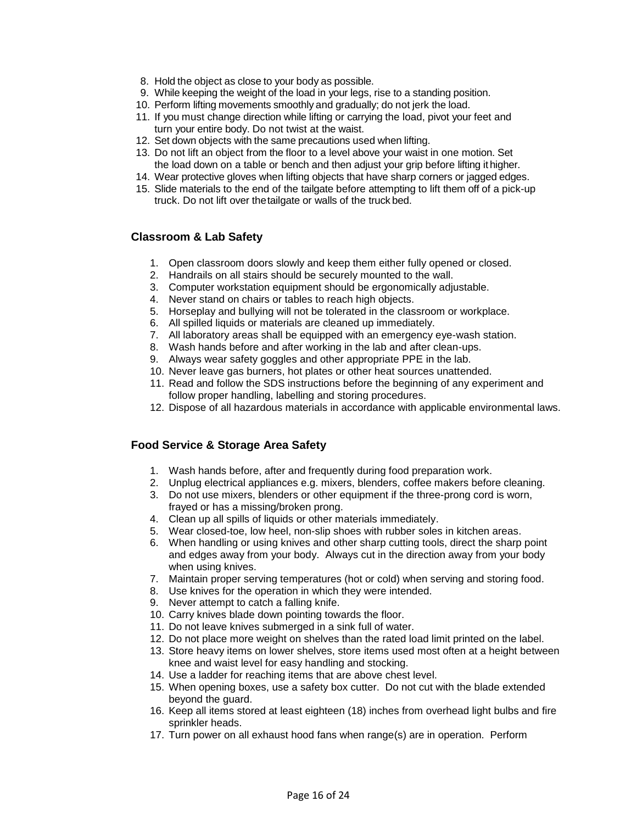- 8. Hold the object as close to your body as possible.
- 9. While keeping the weight of the load in your legs, rise to a standing position.
- 10. Perform lifting movements smoothly and gradually; do not jerk the load.
- 11. If you must change direction while lifting or carrying the load, pivot your feet and turn your entire body. Do not twist at the waist.
- 12. Set down objects with the same precautions used when lifting.
- 13. Do not lift an object from the floor to a level above your waist in one motion. Set the load down on a table or bench and then adjust your grip before lifting it higher.
- 14. Wear protective gloves when lifting objects that have sharp corners or jagged edges.
- 15. Slide materials to the end of the tailgate before attempting to lift them off of a pick-up truck. Do not lift over thetailgate or walls of the truck bed.

### **Classroom & Lab Safety**

- 1. Open classroom doors slowly and keep them either fully opened or closed.
- 2. Handrails on all stairs should be securely mounted to the wall.
- 3. Computer workstation equipment should be ergonomically adjustable.
- 4. Never stand on chairs or tables to reach high objects.
- 5. Horseplay and bullying will not be tolerated in the classroom or workplace.
- 6. All spilled liquids or materials are cleaned up immediately.
- 7. All laboratory areas shall be equipped with an emergency eye-wash station.
- 8. Wash hands before and after working in the lab and after clean-ups.
- 9. Always wear safety goggles and other appropriate PPE in the lab.
- 10. Never leave gas burners, hot plates or other heat sources unattended.
- 11. Read and follow the SDS instructions before the beginning of any experiment and follow proper handling, labelling and storing procedures.
- 12. Dispose of all hazardous materials in accordance with applicable environmental laws.

### **Food Service & Storage Area Safety**

- 1. Wash hands before, after and frequently during food preparation work.
- 2. Unplug electrical appliances e.g. mixers, blenders, coffee makers before cleaning.
- 3. Do not use mixers, blenders or other equipment if the three-prong cord is worn, frayed or has a missing/broken prong.
- 4. Clean up all spills of liquids or other materials immediately.
- 5. Wear closed-toe, low heel, non-slip shoes with rubber soles in kitchen areas.
- 6. When handling or using knives and other sharp cutting tools, direct the sharp point and edges away from your body. Always cut in the direction away from your body when using knives.
- 7. Maintain proper serving temperatures (hot or cold) when serving and storing food.
- 8. Use knives for the operation in which they were intended.
- 9. Never attempt to catch a falling knife.
- 10. Carry knives blade down pointing towards the floor.
- 11. Do not leave knives submerged in a sink full of water.
- 12. Do not place more weight on shelves than the rated load limit printed on the label.
- 13. Store heavy items on lower shelves, store items used most often at a height between knee and waist level for easy handling and stocking.
- 14. Use a ladder for reaching items that are above chest level.
- 15. When opening boxes, use a safety box cutter. Do not cut with the blade extended beyond the guard.
- 16. Keep all items stored at least eighteen (18) inches from overhead light bulbs and fire sprinkler heads.
- 17. Turn power on all exhaust hood fans when range(s) are in operation. Perform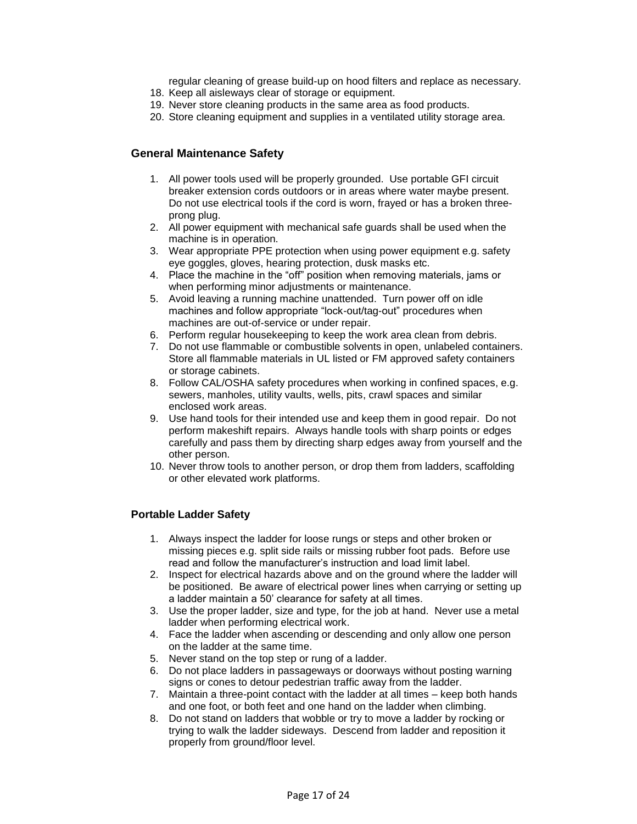regular cleaning of grease build-up on hood filters and replace as necessary.

- 18. Keep all aisleways clear of storage or equipment.
- 19. Never store cleaning products in the same area as food products.
- 20. Store cleaning equipment and supplies in a ventilated utility storage area.

### **General Maintenance Safety**

- 1. All power tools used will be properly grounded. Use portable GFI circuit breaker extension cords outdoors or in areas where water maybe present. Do not use electrical tools if the cord is worn, frayed or has a broken threeprong plug.
- 2. All power equipment with mechanical safe guards shall be used when the machine is in operation.
- 3. Wear appropriate PPE protection when using power equipment e.g. safety eye goggles, gloves, hearing protection, dusk masks etc.
- 4. Place the machine in the "off" position when removing materials, jams or when performing minor adjustments or maintenance.
- 5. Avoid leaving a running machine unattended. Turn power off on idle machines and follow appropriate "lock-out/tag-out" procedures when machines are out-of-service or under repair.
- 6. Perform regular housekeeping to keep the work area clean from debris.
- 7. Do not use flammable or combustible solvents in open, unlabeled containers. Store all flammable materials in UL listed or FM approved safety containers or storage cabinets.
- 8. Follow CAL/OSHA safety procedures when working in confined spaces, e.g. sewers, manholes, utility vaults, wells, pits, crawl spaces and similar enclosed work areas.
- 9. Use hand tools for their intended use and keep them in good repair. Do not perform makeshift repairs. Always handle tools with sharp points or edges carefully and pass them by directing sharp edges away from yourself and the other person.
- 10. Never throw tools to another person, or drop them from ladders, scaffolding or other elevated work platforms.

### **Portable Ladder Safety**

- 1. Always inspect the ladder for loose rungs or steps and other broken or missing pieces e.g. split side rails or missing rubber foot pads. Before use read and follow the manufacturer's instruction and load limit label.
- 2. Inspect for electrical hazards above and on the ground where the ladder will be positioned. Be aware of electrical power lines when carrying or setting up a ladder maintain a 50' clearance for safety at all times.
- 3. Use the proper ladder, size and type, for the job at hand. Never use a metal ladder when performing electrical work.
- 4. Face the ladder when ascending or descending and only allow one person on the ladder at the same time.
- 5. Never stand on the top step or rung of a ladder.
- 6. Do not place ladders in passageways or doorways without posting warning signs or cones to detour pedestrian traffic away from the ladder.
- 7. Maintain a three-point contact with the ladder at all times keep both hands and one foot, or both feet and one hand on the ladder when climbing.
- 8. Do not stand on ladders that wobble or try to move a ladder by rocking or trying to walk the ladder sideways. Descend from ladder and reposition it properly from ground/floor level.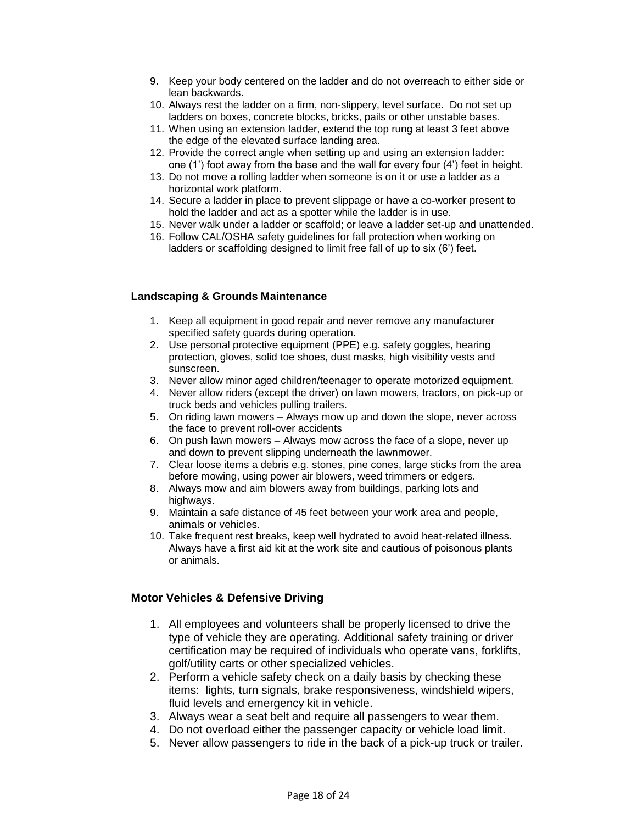- 9. Keep your body centered on the ladder and do not overreach to either side or lean backwards.
- 10. Always rest the ladder on a firm, non-slippery, level surface. Do not set up ladders on boxes, concrete blocks, bricks, pails or other unstable bases.
- 11. When using an extension ladder, extend the top rung at least 3 feet above the edge of the elevated surface landing area.
- 12. Provide the correct angle when setting up and using an extension ladder: one (1') foot away from the base and the wall for every four (4') feet in height.
- 13. Do not move a rolling ladder when someone is on it or use a ladder as a horizontal work platform.
- 14. Secure a ladder in place to prevent slippage or have a co-worker present to hold the ladder and act as a spotter while the ladder is in use.
- 15. Never walk under a ladder or scaffold; or leave a ladder set-up and unattended.
- 16. Follow CAL/OSHA safety guidelines for fall protection when working on ladders or scaffolding designed to limit free fall of up to six (6') feet.

### **Landscaping & Grounds Maintenance**

- 1. Keep all equipment in good repair and never remove any manufacturer specified safety guards during operation.
- 2. Use personal protective equipment (PPE) e.g. safety goggles, hearing protection, gloves, solid toe shoes, dust masks, high visibility vests and sunscreen.
- 3. Never allow minor aged children/teenager to operate motorized equipment.
- 4. Never allow riders (except the driver) on lawn mowers, tractors, on pick-up or truck beds and vehicles pulling trailers.
- 5. On riding lawn mowers Always mow up and down the slope, never across the face to prevent roll-over accidents
- 6. On push lawn mowers Always mow across the face of a slope, never up and down to prevent slipping underneath the lawnmower.
- 7. Clear loose items a debris e.g. stones, pine cones, large sticks from the area before mowing, using power air blowers, weed trimmers or edgers.
- 8. Always mow and aim blowers away from buildings, parking lots and highways.
- 9. Maintain a safe distance of 45 feet between your work area and people, animals or vehicles.
- 10. Take frequent rest breaks, keep well hydrated to avoid heat-related illness. Always have a first aid kit at the work site and cautious of poisonous plants or animals.

### **Motor Vehicles & Defensive Driving**

- 1. All employees and volunteers shall be properly licensed to drive the type of vehicle they are operating. Additional safety training or driver certification may be required of individuals who operate vans, forklifts, golf/utility carts or other specialized vehicles.
- 2. Perform a vehicle safety check on a daily basis by checking these items: lights, turn signals, brake responsiveness, windshield wipers, fluid levels and emergency kit in vehicle.
- 3. Always wear a seat belt and require all passengers to wear them.
- 4. Do not overload either the passenger capacity or vehicle load limit.
- 5. Never allow passengers to ride in the back of a pick-up truck or trailer.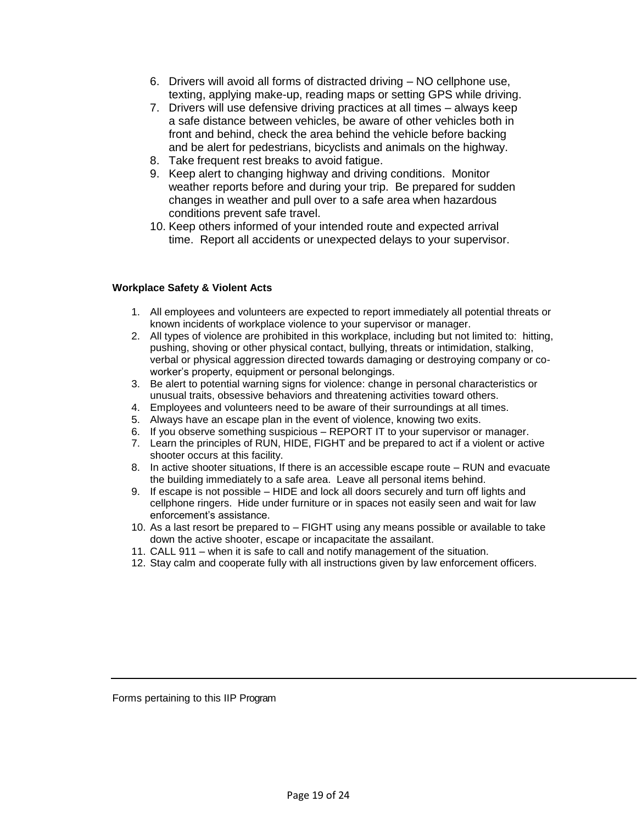- 6. Drivers will avoid all forms of distracted driving NO cellphone use, texting, applying make-up, reading maps or setting GPS while driving.
- 7. Drivers will use defensive driving practices at all times always keep a safe distance between vehicles, be aware of other vehicles both in front and behind, check the area behind the vehicle before backing and be alert for pedestrians, bicyclists and animals on the highway.
- 8. Take frequent rest breaks to avoid fatigue.
- 9. Keep alert to changing highway and driving conditions. Monitor weather reports before and during your trip. Be prepared for sudden changes in weather and pull over to a safe area when hazardous conditions prevent safe travel.
- 10. Keep others informed of your intended route and expected arrival time. Report all accidents or unexpected delays to your supervisor.

### **Workplace Safety & Violent Acts**

- 1. All employees and volunteers are expected to report immediately all potential threats or known incidents of workplace violence to your supervisor or manager.
- 2. All types of violence are prohibited in this workplace, including but not limited to: hitting, pushing, shoving or other physical contact, bullying, threats or intimidation, stalking, verbal or physical aggression directed towards damaging or destroying company or coworker's property, equipment or personal belongings.
- 3. Be alert to potential warning signs for violence: change in personal characteristics or unusual traits, obsessive behaviors and threatening activities toward others.
- 4. Employees and volunteers need to be aware of their surroundings at all times.
- 5. Always have an escape plan in the event of violence, knowing two exits.
- 6. If you observe something suspicious REPORT IT to your supervisor or manager.
- 7. Learn the principles of RUN, HIDE, FIGHT and be prepared to act if a violent or active shooter occurs at this facility.
- 8. In active shooter situations, If there is an accessible escape route RUN and evacuate the building immediately to a safe area. Leave all personal items behind.
- 9. If escape is not possible HIDE and lock all doors securely and turn off lights and cellphone ringers. Hide under furniture or in spaces not easily seen and wait for law enforcement's assistance.
- 10. As a last resort be prepared to FIGHT using any means possible or available to take down the active shooter, escape or incapacitate the assailant.
- 11. CALL 911 when it is safe to call and notify management of the situation.
- 12. Stay calm and cooperate fully with all instructions given by law enforcement officers.

Forms pertaining to this IIP Program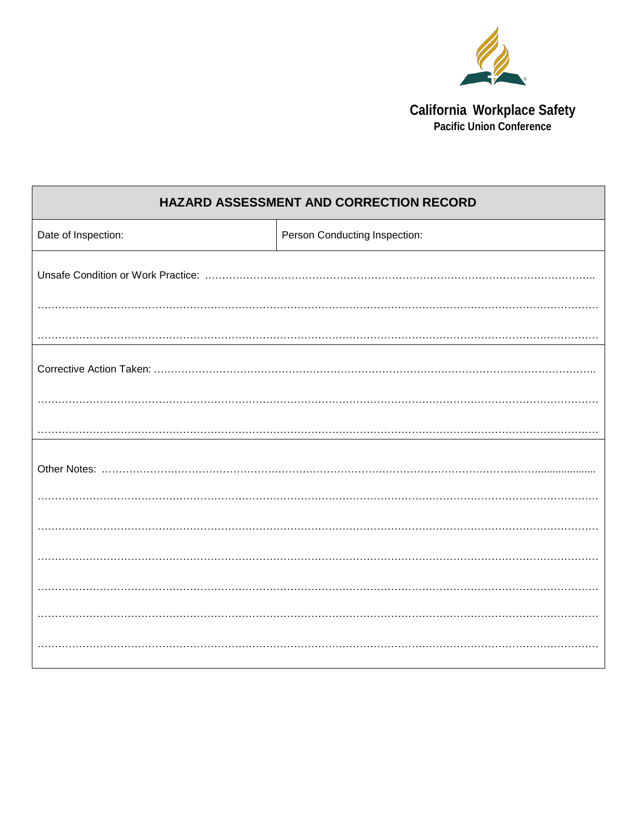

**California Workplace Safety<br>Pacific Union Conference** 

| HAZARD ASSESSMENT AND CORRECTION RECORD |                               |  |  |  |
|-----------------------------------------|-------------------------------|--|--|--|
| Date of Inspection:                     | Person Conducting Inspection: |  |  |  |
|                                         |                               |  |  |  |
|                                         |                               |  |  |  |
|                                         |                               |  |  |  |
|                                         |                               |  |  |  |
|                                         |                               |  |  |  |
|                                         |                               |  |  |  |
|                                         |                               |  |  |  |
|                                         |                               |  |  |  |
|                                         |                               |  |  |  |
|                                         |                               |  |  |  |
|                                         |                               |  |  |  |
|                                         |                               |  |  |  |
|                                         |                               |  |  |  |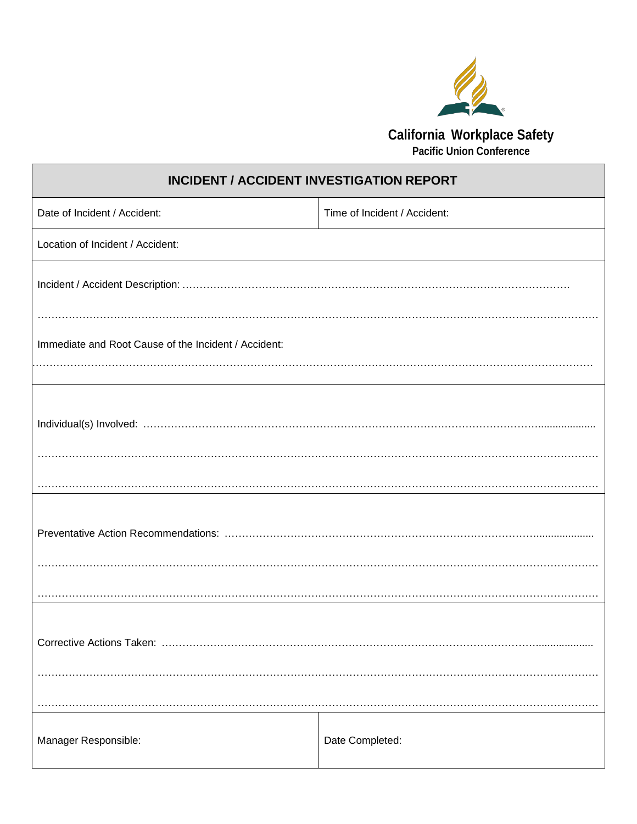

**Pacific Union Conference**

| <b>INCIDENT / ACCIDENT INVESTIGATION REPORT</b>      |                              |  |  |  |  |
|------------------------------------------------------|------------------------------|--|--|--|--|
| Date of Incident / Accident:                         | Time of Incident / Accident: |  |  |  |  |
| Location of Incident / Accident:                     |                              |  |  |  |  |
|                                                      |                              |  |  |  |  |
| Immediate and Root Cause of the Incident / Accident: |                              |  |  |  |  |
|                                                      |                              |  |  |  |  |
|                                                      |                              |  |  |  |  |
|                                                      |                              |  |  |  |  |
|                                                      |                              |  |  |  |  |
| Manager Responsible:                                 | Date Completed:              |  |  |  |  |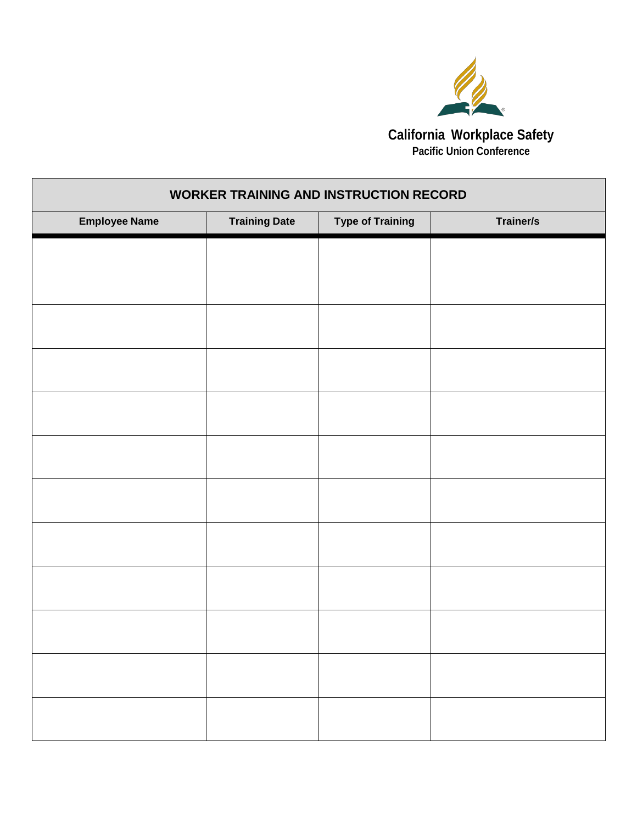

**Pacific Union Conference**

٦

| <b>WORKER TRAINING AND INSTRUCTION RECORD</b> |                      |                         |           |  |
|-----------------------------------------------|----------------------|-------------------------|-----------|--|
| <b>Employee Name</b>                          | <b>Training Date</b> | <b>Type of Training</b> | Trainer/s |  |
|                                               |                      |                         |           |  |
|                                               |                      |                         |           |  |
|                                               |                      |                         |           |  |
|                                               |                      |                         |           |  |
|                                               |                      |                         |           |  |
|                                               |                      |                         |           |  |
|                                               |                      |                         |           |  |
|                                               |                      |                         |           |  |
|                                               |                      |                         |           |  |
|                                               |                      |                         |           |  |
|                                               |                      |                         |           |  |
|                                               |                      |                         |           |  |
|                                               |                      |                         |           |  |

Г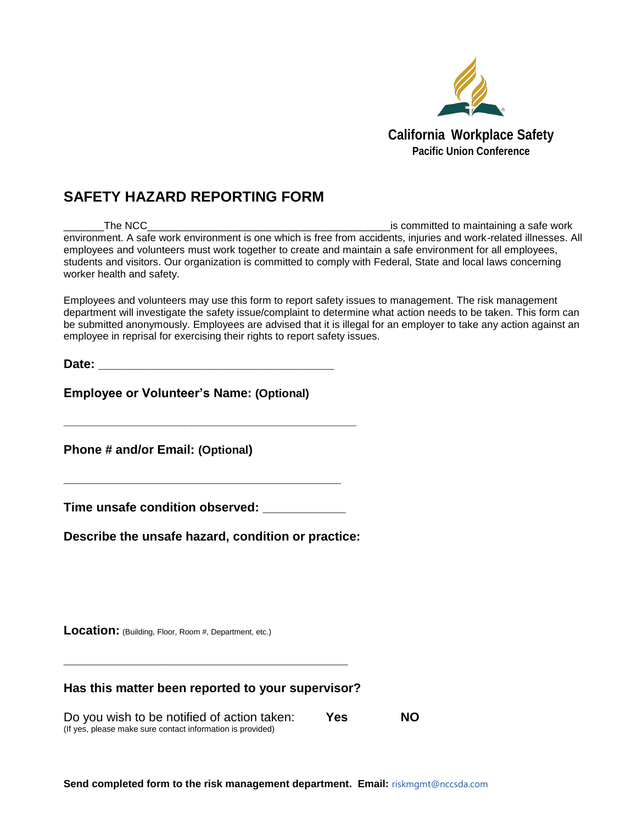

### **SAFETY HAZARD REPORTING FORM**

The NCC **The NCC The NCC Example 1 CO EXECUTE: The NCC EXECUTE: The NCC EXECUTE: The NCC EXECUTE: EXECUTE: EXECUTE: EXECUTE: EXECUTE: EXECUTE: EXECUTE: EXECUTE: EXECUTE: EXECUTE: EXE** environment. A safe work environment is one which is free from accidents, injuries and work-related illnesses. All employees and volunteers must work together to create and maintain a safe environment for all employees, students and visitors. Our organization is committed to comply with Federal, State and local laws concerning worker health and safety.

Employees and volunteers may use this form to report safety issues to management. The risk management department will investigate the safety issue/complaint to determine what action needs to be taken. This form can be submitted anonymously. Employees are advised that it is illegal for an employer to take any action against an employee in reprisal for exercising their rights to report safety issues.

**Date:**  $\blacksquare$ 

**Employee or Volunteer's Name: (Optional)** 

**Phone # and/or Email: (Optional)** 

**Time unsafe condition observed: \_\_\_\_\_\_\_\_\_\_\_\_**

**\_\_\_\_\_\_\_\_\_\_\_\_\_\_\_\_\_\_\_\_\_\_\_\_\_\_\_\_\_\_\_\_\_\_\_\_\_\_\_\_**

**\_\_\_\_\_\_\_\_\_\_\_\_\_\_\_\_\_\_\_\_\_\_\_\_\_\_\_\_\_\_\_\_\_\_\_\_\_\_\_\_\_\_\_\_\_\_**

**Describe the unsafe hazard, condition or practice:** 

**Location:** (Building, Floor, Room #, Department, etc.)

### **Has this matter been reported to your supervisor?**

**\_\_\_\_\_\_\_\_\_\_\_\_\_\_\_\_\_\_\_\_\_\_\_\_\_\_\_\_\_\_\_\_\_\_\_\_\_\_\_\_\_**

Do you wish to be notified of action taken: **Yes NO** (If yes, please make sure contact information is provided)